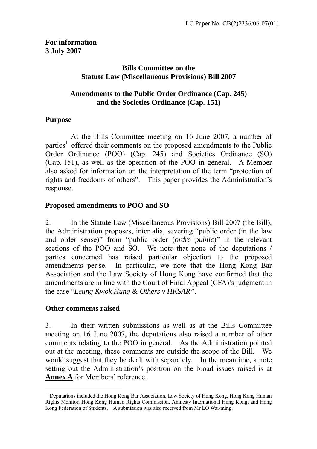# **Bills Committee on the Statute Law (Miscellaneous Provisions) Bill 2007**

## **Amendments to the Public Order Ordinance (Cap. 245) and the Societies Ordinance (Cap. 151)**

## **Purpose**

 At the Bills Committee meeting on 16 June 2007, a number of parties<sup>[1](#page-0-0)</sup> offered their comments on the proposed amendments to the Public Order Ordinance (POO) (Cap. 245) and Societies Ordinance (SO) (Cap. 151), as well as the operation of the POO in general. A Member also asked for information on the interpretation of the term "protection of rights and freedoms of others". This paper provides the Administration's response.

# **Proposed amendments to POO and SO**

2. In the Statute Law (Miscellaneous Provisions) Bill 2007 (the Bill), the Administration proposes, inter alia, severing "public order (in the law and order sense)" from "public order (*ordre public*)" in the relevant sections of the POO and SO. We note that none of the deputations / parties concerned has raised particular objection to the proposed amendments per se. In particular, we note that the Hong Kong Bar Association and the Law Society of Hong Kong have confirmed that the amendments are in line with the Court of Final Appeal (CFA)'s judgment in the case "*Leung Kwok Hung & Others v HKSAR"*.

# **Other comments raised**

 $\overline{a}$ 

3. In their written submissions as well as at the Bills Committee meeting on 16 June 2007, the deputations also raised a number of other comments relating to the POO in general. As the Administration pointed out at the meeting, these comments are outside the scope of the Bill. We would suggest that they be dealt with separately. In the meantime, a note setting out the Administration's position on the broad issues raised is at **Annex A** for Members' reference.

<span id="page-0-0"></span><sup>&</sup>lt;sup>1</sup> Deputations included the Hong Kong Bar Association, Law Society of Hong Kong, Hong Kong Human Rights Monitor, Hong Kong Human Rights Commission, Amnesty International Hong Kong, and Hong Kong Federation of Students. A submission was also received from Mr LO Wai-ming.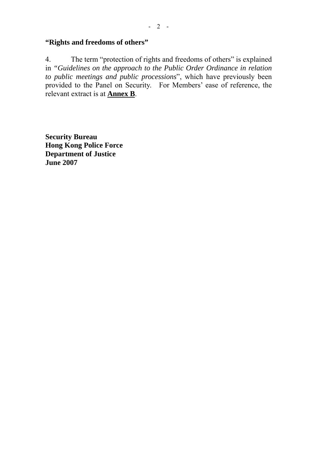# **"Rights and freedoms of others"**

4. The term "protection of rights and freedoms of others" is explained in *"Guidelines on the approach to the Public Order Ordinance in relation to public meetings and public processions*", which have previously been provided to the Panel on Security. For Members' ease of reference, the relevant extract is at **Annex B**.

**Security Bureau Hong Kong Police Force Department of Justice June 2007**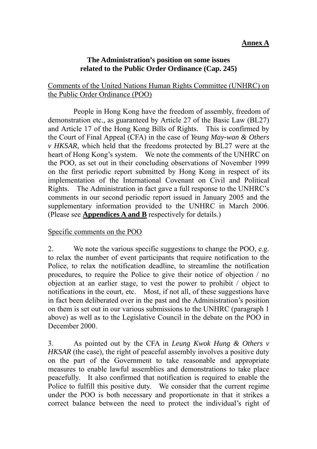## **Annex A**

#### **The Administration's position on some issues related to the Public Order Ordinance (Cap. 245)**

#### Comments of the United Nations Human Rights Committee (UNHRC) on the Public Order Ordinance (POO)

 People in Hong Kong have the freedom of assembly, freedom of demonstration etc., as guaranteed by Article 27 of the Basic Law (BL27) and Article 17 of the Hong Kong Bills of Rights. This is confirmed by the Court of Final Appeal (CFA) in the case of *Yeung May-wan & Others v HKSAR,* which held that the freedoms protected by BL27 were at the heart of Hong Kong's system. We note the comments of the UNHRC on the POO, as set out in their concluding observations of November 1999 on the first periodic report submitted by Hong Kong in respect of its implementation of the International Covenant on Civil and Political Rights. The Administration in fact gave a full response to the UNHRC's comments in our second periodic report issued in January 2005 and the supplementary information provided to the UNHRC in March 2006. (Please see **Appendices A and B** respectively for details.)

#### Specific comments on the POO

2. We note the various specific suggestions to change the POO, e.g. to relax the number of event participants that require notification to the Police, to relax the notification deadline, to streamline the notification procedures, to require the Police to give their notice of objection / no objection at an earlier stage, to vest the power to prohibit / object to notifications in the court, etc. Most, if not all, of these suggestions have in fact been deliberated over in the past and the Administration's position on them is set out in our various submissions to the UNHRC (paragraph 1 above) as well as to the Legislative Council in the debate on the POO in December 2000.

3. As pointed out by the CFA in *Leung Kwok Hung & Others v HKSAR* (the case)*,* the right of peaceful assembly involves a positive duty on the part of the Government to take reasonable and appropriate measures to enable lawful assemblies and demonstrations to take place peacefully. It also confirmed that notification is required to enable the Police to fulfill this positive duty. We consider that the current regime under the POO is both necessary and proportionate in that it strikes a correct balance between the need to protect the individual's right of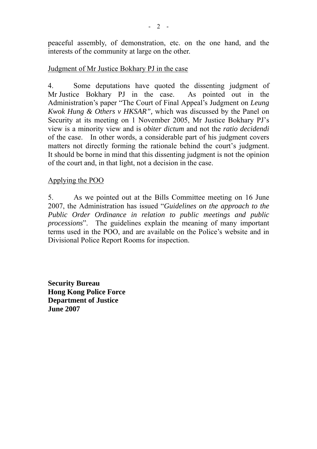peaceful assembly, of demonstration, etc. on the one hand, and the interests of the community at large on the other.

#### Judgment of Mr Justice Bokhary PJ in the case

4. Some deputations have quoted the dissenting judgment of Mr Justice Bokhary PJ in the case. As pointed out in the Administration's paper "The Court of Final Appeal's Judgment on *Leung Kwok Hung & Others v HKSAR",* which was discussed by the Panel on Security at its meeting on 1 November 2005, Mr Justice Bokhary PJ's view is a minority view and is *obiter dictum* and not the *ratio decidendi* of the case. In other words, a considerable part of his judgment covers matters not directly forming the rationale behind the court's judgment. It should be borne in mind that this dissenting judgment is not the opinion of the court and, in that light, not a decision in the case.

## Applying the POO

5. As we pointed out at the Bills Committee meeting on 16 June 2007, the Administration has issued "*Guidelines on the approach to the Public Order Ordinance in relation to public meetings and public processions*". The guidelines explain the meaning of many important terms used in the POO, and are available on the Police's website and in Divisional Police Report Rooms for inspection.

**Security Bureau Hong Kong Police Force Department of Justice June 2007**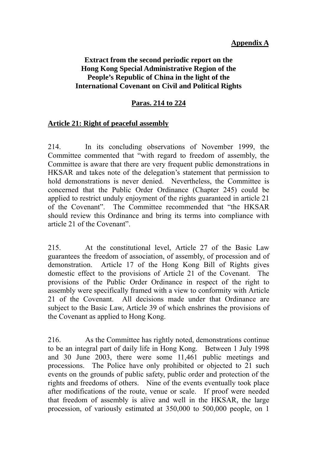## **Appendix A**

## **Extract from the second periodic report on the Hong Kong Special Administrative Region of the People's Republic of China in the light of the International Covenant on Civil and Political Rights**

# **Paras. 214 to 224**

## **Article 21: Right of peaceful assembly**

214. In its concluding observations of November 1999, the Committee commented that "with regard to freedom of assembly, the Committee is aware that there are very frequent public demonstrations in HKSAR and takes note of the delegation's statement that permission to hold demonstrations is never denied. Nevertheless, the Committee is concerned that the Public Order Ordinance (Chapter 245) could be applied to restrict unduly enjoyment of the rights guaranteed in article 21 of the Covenant". The Committee recommended that "the HKSAR should review this Ordinance and bring its terms into compliance with article 21 of the Covenant".

215. At the constitutional level, Article 27 of the Basic Law guarantees the freedom of association, of assembly, of procession and of demonstration. Article 17 of the Hong Kong Bill of Rights gives domestic effect to the provisions of Article 21 of the Covenant. The provisions of the Public Order Ordinance in respect of the right to assembly were specifically framed with a view to conformity with Article 21 of the Covenant. All decisions made under that Ordinance are subject to the Basic Law, Article 39 of which enshrines the provisions of the Covenant as applied to Hong Kong.

216. As the Committee has rightly noted, demonstrations continue to be an integral part of daily life in Hong Kong. Between 1 July 1998 and 30 June 2003, there were some 11,461 public meetings and processions. The Police have only prohibited or objected to 21 such events on the grounds of public safety, public order and protection of the rights and freedoms of others. Nine of the events eventually took place after modifications of the route, venue or scale. If proof were needed that freedom of assembly is alive and well in the HKSAR, the large procession, of variously estimated at 350,000 to 500,000 people, on 1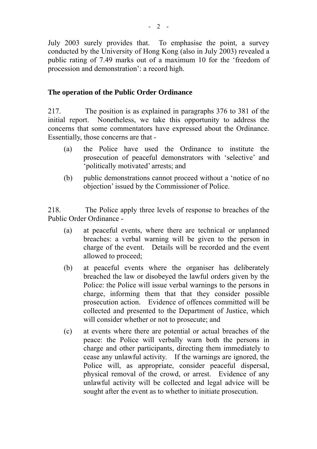July 2003 surely provides that. To emphasise the point, a survey conducted by the University of Hong Kong (also in July 2003) revealed a public rating of 7.49 marks out of a maximum 10 for the 'freedom of procession and demonstration': a record high.

## **The operation of the Public Order Ordinance**

217. The position is as explained in paragraphs 376 to 381 of the initial report. Nonetheless, we take this opportunity to address the concerns that some commentators have expressed about the Ordinance. Essentially, those concerns are that -

- (a) the Police have used the Ordinance to institute the prosecution of peaceful demonstrators with 'selective' and 'politically motivated' arrests; and
- (b) public demonstrations cannot proceed without a 'notice of no objection' issued by the Commissioner of Police.

218. The Police apply three levels of response to breaches of the Public Order Ordinance -

- (a) at peaceful events, where there are technical or unplanned breaches: a verbal warning will be given to the person in charge of the event. Details will be recorded and the event allowed to proceed;
- (b) at peaceful events where the organiser has deliberately breached the law or disobeyed the lawful orders given by the Police: the Police will issue verbal warnings to the persons in charge, informing them that that they consider possible prosecution action. Evidence of offences committed will be collected and presented to the Department of Justice, which will consider whether or not to prosecute; and
- (c) at events where there are potential or actual breaches of the peace: the Police will verbally warn both the persons in charge and other participants, directing them immediately to cease any unlawful activity. If the warnings are ignored, the Police will, as appropriate, consider peaceful dispersal, physical removal of the crowd, or arrest. Evidence of any unlawful activity will be collected and legal advice will be sought after the event as to whether to initiate prosecution.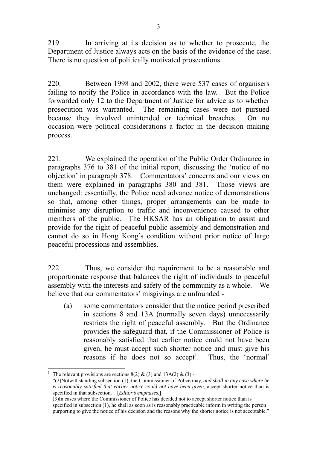219. In arriving at its decision as to whether to prosecute, the Department of Justice always acts on the basis of the evidence of the case. There is no question of politically motivated prosecutions.

220. Between 1998 and 2002, there were 537 cases of organisers failing to notify the Police in accordance with the law. But the Police forwarded only 12 to the Department of Justice for advice as to whether prosecution was warranted. The remaining cases were not pursued because they involved unintended or technical breaches. On no occasion were political considerations a factor in the decision making process.

221. We explained the operation of the Public Order Ordinance in paragraphs 376 to 381 of the initial report, discussing the 'notice of no objection' in paragraph 378. Commentators' concerns and our views on them were explained in paragraphs 380 and 381. Those views are unchanged: essentially, the Police need advance notice of demonstrations so that, among other things, proper arrangements can be made to minimise any disruption to traffic and inconvenience caused to other members of the public. The HKSAR has an obligation to assist and provide for the right of peaceful public assembly and demonstration and cannot do so in Hong Kong's condition without prior notice of large peaceful processions and assemblies.

222. Thus, we consider the requirement to be a reasonable and proportionate response that balances the right of individuals to peaceful assembly with the interests and safety of the community as a whole. We believe that our commentators' misgivings are unfounded -

(a) some commentators consider that the notice period prescribed in sections 8 and 13A (normally seven days) unnecessarily restricts the right of peaceful assembly. But the Ordinance provides the safeguard that, if the Commissioner of Police is reasonably satisfied that earlier notice could not have been given, he must accept such shorter notice and must give his  $r$  reasons if he does not so accept<sup>1</sup>[.](#page-6-0) Thus, the 'normal'

 $\overline{a}$ 

<span id="page-6-0"></span><sup>1</sup> The relevant provisions are sections  $8(2)$  &  $(3)$  and  $13A(2)$  &  $(3)$  -

 <sup>&</sup>quot;(2)Notwithstanding subsection (1), the Commissioner of Police may, *and shall in any case where he is reasonably satisfied that earlier notice could not have been given*, accept shorter notice than is specified in that subsection. [*Editor's emphases*.]

 <sup>(3)</sup>In cases where the Commissioner of Police has decided not to accept shorter notice than is specified in subsection (1), he shall as soon as is reasonably practicable inform in writing the person purporting to give the notice of his decision and the reasons why the shorter notice is not acceptable."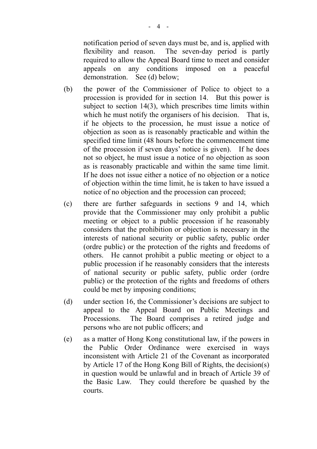notification period of seven days must be, and is, applied with flexibility and reason. The seven-day period is partly required to allow the Appeal Board time to meet and consider appeals on any conditions imposed on a peaceful demonstration. See (d) below;

- (b) the power of the Commissioner of Police to object to a procession is provided for in section 14. But this power is subject to section 14(3), which prescribes time limits within which he must notify the organisers of his decision. That is, if he objects to the procession, he must issue a notice of objection as soon as is reasonably practicable and within the specified time limit (48 hours before the commencement time of the procession if seven days' notice is given). If he does not so object, he must issue a notice of no objection as soon as is reasonably practicable and within the same time limit. If he does not issue either a notice of no objection or a notice of objection within the time limit, he is taken to have issued a notice of no objection and the procession can proceed;
- (c) there are further safeguards in sections 9 and 14, which provide that the Commissioner may only prohibit a public meeting or object to a public procession if he reasonably considers that the prohibition or objection is necessary in the interests of national security or public safety, public order (ordre public) or the protection of the rights and freedoms of others. He cannot prohibit a public meeting or object to a public procession if he reasonably considers that the interests of national security or public safety, public order (ordre public) or the protection of the rights and freedoms of others could be met by imposing conditions;
- (d) under section 16, the Commissioner's decisions are subject to appeal to the Appeal Board on Public Meetings and Processions. The Board comprises a retired judge and persons who are not public officers; and
- (e) as a matter of Hong Kong constitutional law, if the powers in the Public Order Ordinance were exercised in ways inconsistent with Article 21 of the Covenant as incorporated by Article 17 of the Hong Kong Bill of Rights, the decision(s) in question would be unlawful and in breach of Article 39 of the Basic Law. They could therefore be quashed by the courts.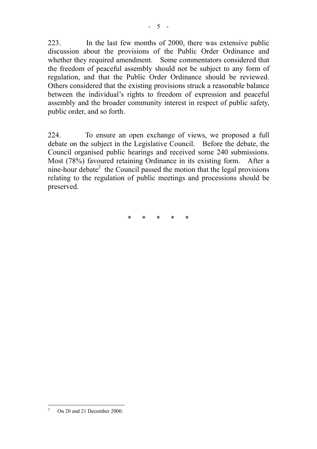223. In the last few months of 2000, there was extensive public discussion about the provisions of the Public Order Ordinance and whether they required amendment. Some commentators considered that the freedom of peaceful assembly should not be subject to any form of regulation, and that the Public Order Ordinance should be reviewed. Others considered that the existing provisions struck a reasonable balance between the individual's rights to freedom of expression and peaceful assembly and the broader community interest in respect of public safety, public order, and so forth.

224. To ensure an open exchange of views, we proposed a full debate on the subject in the Legislative Council. Before the debate, the Council organised public hearings and received some 240 submissions. Most (78%) favoured retaining Ordinance in its existing form. After a nine-hour debate<sup>[2](#page-8-0)</sup> the Council passed the motion that the legal provisions relating to the regulation of public meetings and processions should be preserved.

\* \* \* \* \*

<span id="page-8-0"></span> $\frac{1}{2}$ On 20 and 21 December 2000.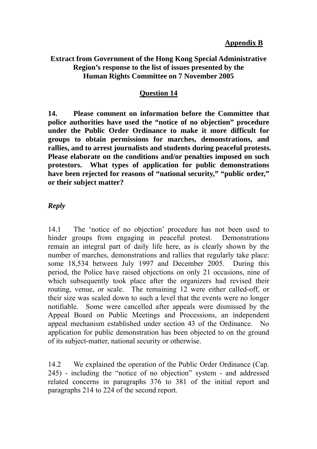#### **Appendix B**

#### **Extract from Government of the Hong Kong Special Administrative Region's response to the list of issues presented by the Human Rights Committee on 7 November 2005**

#### **Question 14**

**14. Please comment on information before the Committee that police authorities have used the "notice of no objection" procedure under the Public Order Ordinance to make it more difficult for groups to obtain permissions for marches, demonstrations, and rallies, and to arrest journalists and students during peaceful protests. Please elaborate on the conditions and/or penalties imposed on such protestors. What types of application for public demonstrations have been rejected for reasons of "national security," "public order," or their subject matter?** 

#### *Reply*

14.1 The 'notice of no objection' procedure has not been used to hinder groups from engaging in peaceful protest. Demonstrations remain an integral part of daily life here, as is clearly shown by the number of marches, demonstrations and rallies that regularly take place: some 18,534 between July 1997 and December 2005. During this period, the Police have raised objections on only 21 occasions, nine of which subsequently took place after the organizers had revised their routing, venue, or scale. The remaining 12 were either called-off, or their size was scaled down to such a level that the events were no longer notifiable. Some were cancelled after appeals were dismissed by the Appeal Board on Public Meetings and Processions, an independent appeal mechanism established under section 43 of the Ordinance. No application for public demonstration has been objected to on the ground of its subject-matter, national security or otherwise.

14.2 We explained the operation of the Public Order Ordinance (Cap. 245) - including the "notice of no objection" system - and addressed related concerns in paragraphs 376 to 381 of the initial report and paragraphs 214 to 224 of the second report.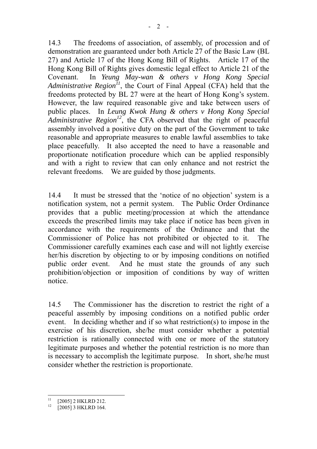14.3 The freedoms of association, of assembly, of procession and of demonstration are guaranteed under both Article 27 of the Basic Law (BL 27) and Article 17 of the Hong Kong Bill of Rights. Article 17 of the Hong Kong Bill of Rights gives domestic legal effect to Article 21 of the Covenant. In *Yeung May-wan & others v Hong Kong Special Administrative Region[11](#page-10-0)*, the Court of Final Appeal (CFA) held that the freedoms protected by BL 27 were at the heart of Hong Kong's system. However, the law required reasonable give and take between users of public places. In *Leung Kwok Hung & others v Hong Kong Special Administrative Region[12](#page-10-1)*, the CFA observed that the right of peaceful assembly involved a positive duty on the part of the Government to take reasonable and appropriate measures to enable lawful assemblies to take place peacefully. It also accepted the need to have a reasonable and proportionate notification procedure which can be applied responsibly and with a right to review that can only enhance and not restrict the relevant freedoms. We are guided by those judgments.

14.4 It must be stressed that the 'notice of no objection' system is a notification system, not a permit system. The Public Order Ordinance provides that a public meeting/procession at which the attendance exceeds the prescribed limits may take place if notice has been given in accordance with the requirements of the Ordinance and that the Commissioner of Police has not prohibited or objected to it. The Commissioner carefully examines each case and will not lightly exercise her/his discretion by objecting to or by imposing conditions on notified public order event. And he must state the grounds of any such prohibition/objection or imposition of conditions by way of written notice.

14.5 The Commissioner has the discretion to restrict the right of a peaceful assembly by imposing conditions on a notified public order event. In deciding whether and if so what restriction(s) to impose in the exercise of his discretion, she/he must consider whether a potential restriction is rationally connected with one or more of the statutory legitimate purposes and whether the potential restriction is no more than is necessary to accomplish the legitimate purpose. In short, she/he must consider whether the restriction is proportionate.

<span id="page-10-0"></span> $11$ [2005] 2 HKLRD 212.

<span id="page-10-1"></span><sup>[2005] 3</sup> HKLRD 164.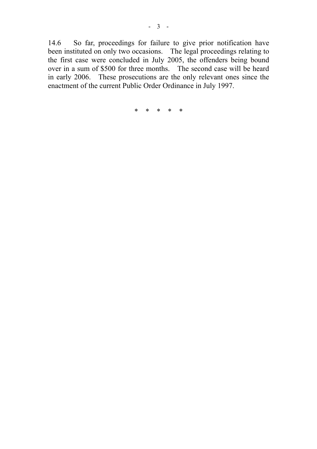14.6 So far, proceedings for failure to give prior notification have been instituted on only two occasions. The legal proceedings relating to the first case were concluded in July 2005, the offenders being bound over in a sum of \$500 for three months. The second case will be heard in early 2006. These prosecutions are the only relevant ones since the enactment of the current Public Order Ordinance in July 1997.

\* \* \* \* \*